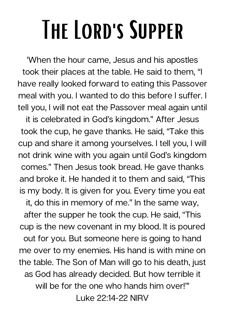## The Lord's Supper

'When the hour came, Jesus and his apostles took their places at the table. He said to them, "I have really looked forward to eating this Passover meal with you. I wanted to do this before I suffer. I tell you, I will not eat the Passover meal again until

it is celebrated in God's kingdom." After Jesus took the cup, he gave thanks. He said, "Take this cup and share it among yourselves. I tell you, I will not drink wine with you again until God's kingdom comes." Then Jesus took bread. He gave thanks and broke it. He handed it to them and said, "This is my body. It is given for you. Every time you eat it, do this in memory of me." In the same way, after the supper he took the cup. He said, "This cup is the new covenant in my blood. It is poured out for you. But someone here is going to hand me over to my enemies. His hand is with mine on the table. The Son of Man will go to his death, just as God has already decided. But how terrible it will be for the one who hands him over!"' Luke 22:14-22 NIRV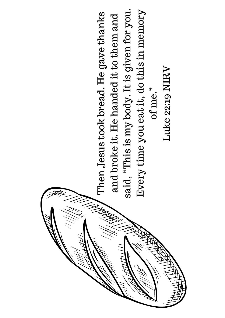## of me."<br>Luke 22:19 NIRV Luke 22:19 NIRV

said, "This is my body. It is given for you. said, "This is my body. It is given for you.<br> $\frac{1}{n}$ Every time you eat it, do this in memory Every time you eat it, do this in memory  $c_{\rm max}$ Then Jesus took bread. He gave thanks Then Jesus took bread. He gave thanks and broke it. He handed it to them and and broke it. He handed it to them and<br>aid "This is my body It is given for you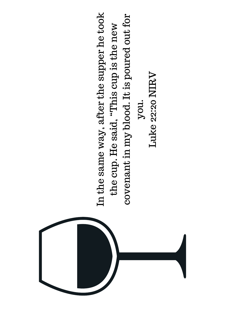

In the same way, after the supper he took In the same way, after the supper he took  $\alpha_1$ covenant in my blood. It is poured out for covenant in my blood. It is poured out for the cup. He said, "This cup is the new the cup. He said, "This cup is the new<br>wanner in my blood. It is nouved out f